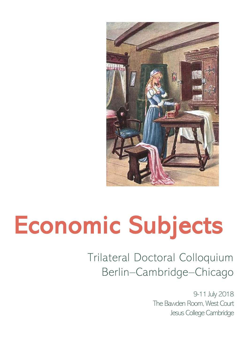

# Economic Subjects

# Trilateral Doctoral Colloquium Berlin–Cambridge–Chicago

9-11 July 2018 The Bawden Room, West Court Jesus College Cambridge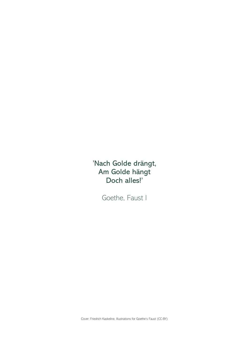'Nach Golde drängt, Am Golde hängt Doch alles!'

Goethe, Faust I

Cover: Friedrich Kaskeline, Illustrations for Goethe's Faust (CC-BY)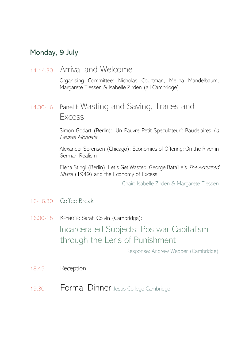#### Monday, 9 July

#### 14-14.30 Arrival and Welcome

Organising Committee: Nicholas Courtman, Melina Mandelbaum, Margarete Tiessen & Isabelle Zirden (all Cambridge)

# 14.30-16 Panel I: Wasting and Saving, Traces and Excess

Simon Godart (Berlin): 'Un Pauvre Petit Speculateur': Baudelaires La Fausse Monnaie

Alexander Sorenson (Chicago): Economies of Offering: On the River in German Realism

Elena Stingl (Berlin): Let's Get Wasted: George Bataille's The Accursed Share (1949) and the Economy of Excess

Chair: Isabelle Zirden & Margarete Tiessen

- 16-16.30 Coffee Break
- 16.30-18 KEYNOTE: Sarah Colvin (Cambridge):

Incarcerated Subjects: Postwar Capitalism through the Lens of Punishment

Response: Andrew Webber (Cambridge)

- 18.45 Reception
- 19.30 Formal Dinner Jesus College Cambridge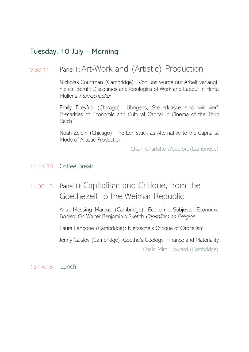#### Tuesday, 10 July – Morning

## 9.30-11 Panel II: Art-Work and (Artistic) Production

Nicholas Courtman (Cambridge): 'Von uns wurde nur Arbeit verlangt, nie ein Beruf': Discourses and Ideologies of Work and Labour in Herta Müller's Atemschaukel

Emily Dreyfus (Chicago): 'Übrigens, Steuerklasse sind wir vier': Precarities of Economic and Cultural Capital in Cinema of the Third Reich

Noah Zeldin (Chicago): The Lehrstück as Alternative to the Capitalist Mode of Artistic Production

Chair: Charlotte Woodford(Cambridge)

- 11-11.30 Coffee Break
- 11.30-13 Panel III: Capitalism and Critique, from the Goethezeit to the Weimar Republic

Anat Messing Marcus (Cambridge): Economic Subjects, Economic Bodies: On Walter Benjamin's Sketch Capitalism as Religion

Laura Langone (Cambridge): Nietzsche's Critique of Capitalism

Jenny Caisley (Cambridge): Goethe's Geology: Finance and Materiality

Chair: Mimi Howard (Cambridge)

#### 13-14.15 Lunch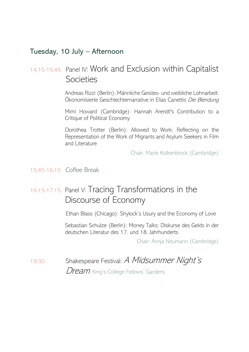#### Tuesday, 10 July – Afternoon

# 14.15-15.45 Panel IV: Work and Exclusion within Capitalist **Societies**

Andreas Rizzi (Berlin): Männliche Geistes- und weibliche Lohnarbeit: Ökonomisierte Geschlechternarrative in Elias Canettis Die Blendung

Mimi Howard (Cambridge): Hannah Arendt's Contribution to a Critique of Political Economy

Dorothea Trotter (Berlin): Allowed to Work: Reflecting on the Representation of the Work of Migrants and Asylum Seekers in Film and Literature

Chair: Marie Kolkenbrock (Cambridge)

#### 15.45-16.15 Coffee Break

# 16.15-17.15 Panel V: Tracing Transformations in the Discourse of Economy

Ethan Blass (Chicago): Shylock's Usury and the Economy of Love

Sebastian Schulze (Berlin): Money Talks: Diskurse des Gelds in der deutschen Literatur des 17. und 18. Jahrhunderts

Chair: Annja Neumann (Cambridge)

19.30 Shakespeare Festival: A Midsummer Night's

Dream King's College Fellows' Gardens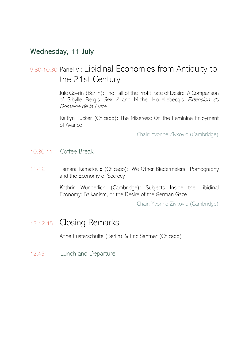#### Wednesday, 11 July

# 9.30-10.30 Panel VI: Libidinal Economies from Antiquity to the 21st Century

Jule Govrin (Berlin): The Fall of the Profit Rate of Desire: A Comparison of Sibylle Berg's Sex 2 and Michel Houellebecg's Extension du Domaine de la Lutte

Kaitlyn Tucker (Chicago): The Miseress: On the Feminine Enjoyment of Avarice

Chair: Yvonne Zivkovic (Cambridge)

- 10.30-11 Coffee Break
- 11-12 Tamara Kamatović (Chicago): 'We Other Biedermeiers': Pornography and the Economy of Secrecy

Kathrin Wunderlich (Cambridge): Subjects Inside the Libidinal Economy: Balkanism, or the Desire of the German Gaze

Chair: Yvonne Zivkovic (Cambridge)

## 12-12.45 Closing Remarks

Anne Eusterschulte (Berlin) & Eric Santner (Chicago)

12.45 Lunch and Departure